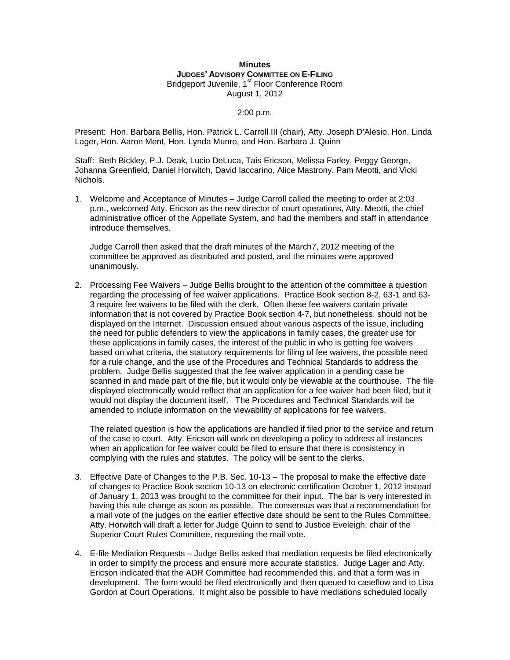## **Minutes JUDGES' ADVISORY COMMITTEE ON E-FILING** Bridgeport Juvenile, 1<sup>st</sup> Floor Conference Room August 1, 2012

## 2:00 p.m.

Present: Hon. Barbara Bellis, Hon. Patrick L. Carroll III (chair), Atty. Joseph D'Alesio, Hon. Linda Lager, Hon. Aaron Ment, Hon. Lynda Munro, and Hon. Barbara J. Quinn

Staff: Beth Bickley, P.J. Deak, Lucio DeLuca, Tais Ericson, Melissa Farley, Peggy George, Johanna Greenfield, Daniel Horwitch, David Iaccarino, Alice Mastrony, Pam Meotti, and Vicki Nichols.

1. Welcome and Acceptance of Minutes – Judge Carroll called the meeting to order at 2:03 p.m., welcomed Atty. Ericson as the new director of court operations, Atty. Meotti, the chief administrative officer of the Appellate System, and had the members and staff in attendance introduce themselves.

Judge Carroll then asked that the draft minutes of the March7, 2012 meeting of the committee be approved as distributed and posted, and the minutes were approved unanimously.

2. Processing Fee Waivers – Judge Bellis brought to the attention of the committee a question regarding the processing of fee waiver applications. Practice Book section 8-2, 63-1 and 63- 3 require fee waivers to be filed with the clerk. Often these fee waivers contain private information that is not covered by Practice Book section 4-7, but nonetheless, should not be displayed on the Internet. Discussion ensued about various aspects of the issue, including the need for public defenders to view the applications in family cases, the greater use for these applications in family cases, the interest of the public in who is getting fee waivers based on what criteria, the statutory requirements for filing of fee waivers, the possible need for a rule change, and the use of the Procedures and Technical Standards to address the problem. Judge Bellis suggested that the fee waiver application in a pending case be scanned in and made part of the file, but it would only be viewable at the courthouse. The file displayed electronically would reflect that an application for a fee waiver had been filed, but it would not display the document itself. The Procedures and Technical Standards will be amended to include information on the viewability of applications for fee waivers.

The related question is how the applications are handled if filed prior to the service and return of the case to court. Atty. Ericson will work on developing a policy to address all instances when an application for fee waiver could be filed to ensure that there is consistency in complying with the rules and statutes. The policy will be sent to the clerks.

- 3. Effective Date of Changes to the P.B. Sec. 10-13 The proposal to make the effective date of changes to Practice Book section 10-13 on electronic certification October 1, 2012 instead of January 1, 2013 was brought to the committee for their input. The bar is very interested in having this rule change as soon as possible. The consensus was that a recommendation for a mail vote of the judges on the earlier effective date should be sent to the Rules Committee. Atty. Horwitch will draft a letter for Judge Quinn to send to Justice Eveleigh, chair of the Superior Court Rules Committee, requesting the mail vote.
- 4. E-file Mediation Requests Judge Bellis asked that mediation requests be filed electronically in order to simplify the process and ensure more accurate statistics. Judge Lager and Atty. Ericson indicated that the ADR Committee had recommended this, and that a form was in development. The form would be filed electronically and then queued to caseflow and to Lisa Gordon at Court Operations. It might also be possible to have mediations scheduled locally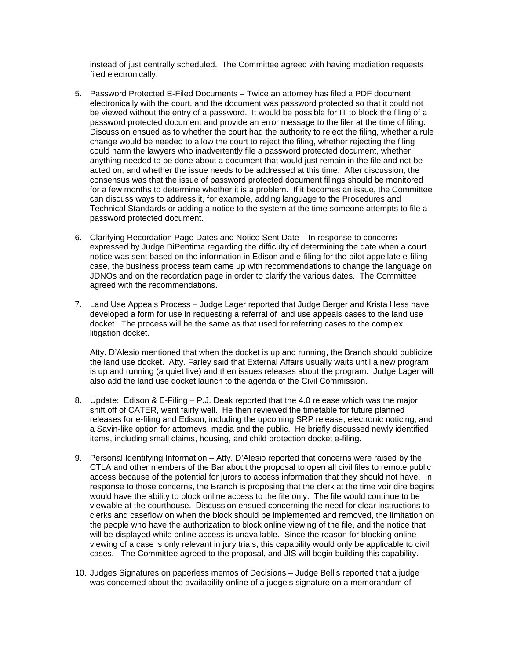instead of just centrally scheduled. The Committee agreed with having mediation requests filed electronically.

- 5. Password Protected E-Filed Documents Twice an attorney has filed a PDF document electronically with the court, and the document was password protected so that it could not be viewed without the entry of a password. It would be possible for IT to block the filing of a password protected document and provide an error message to the filer at the time of filing. Discussion ensued as to whether the court had the authority to reject the filing, whether a rule change would be needed to allow the court to reject the filing, whether rejecting the filing could harm the lawyers who inadvertently file a password protected document, whether anything needed to be done about a document that would just remain in the file and not be acted on, and whether the issue needs to be addressed at this time. After discussion, the consensus was that the issue of password protected document filings should be monitored for a few months to determine whether it is a problem. If it becomes an issue, the Committee can discuss ways to address it, for example, adding language to the Procedures and Technical Standards or adding a notice to the system at the time someone attempts to file a password protected document.
- 6. Clarifying Recordation Page Dates and Notice Sent Date In response to concerns expressed by Judge DiPentima regarding the difficulty of determining the date when a court notice was sent based on the information in Edison and e-filing for the pilot appellate e-filing case, the business process team came up with recommendations to change the language on JDNOs and on the recordation page in order to clarify the various dates. The Committee agreed with the recommendations.
- 7. Land Use Appeals Process Judge Lager reported that Judge Berger and Krista Hess have developed a form for use in requesting a referral of land use appeals cases to the land use docket. The process will be the same as that used for referring cases to the complex litigation docket.

Atty. D'Alesio mentioned that when the docket is up and running, the Branch should publicize the land use docket. Atty. Farley said that External Affairs usually waits until a new program is up and running (a quiet live) and then issues releases about the program. Judge Lager will also add the land use docket launch to the agenda of the Civil Commission.

- 8. Update: Edison & E-Filing P.J. Deak reported that the 4.0 release which was the major shift off of CATER, went fairly well. He then reviewed the timetable for future planned releases for e-filing and Edison, including the upcoming SRP release, electronic noticing, and a Savin-like option for attorneys, media and the public. He briefly discussed newly identified items, including small claims, housing, and child protection docket e-filing.
- 9. Personal Identifying Information Atty. D'Alesio reported that concerns were raised by the CTLA and other members of the Bar about the proposal to open all civil files to remote public access because of the potential for jurors to access information that they should not have. In response to those concerns, the Branch is proposing that the clerk at the time voir dire begins would have the ability to block online access to the file only. The file would continue to be viewable at the courthouse. Discussion ensued concerning the need for clear instructions to clerks and caseflow on when the block should be implemented and removed, the limitation on the people who have the authorization to block online viewing of the file, and the notice that will be displayed while online access is unavailable. Since the reason for blocking online viewing of a case is only relevant in jury trials, this capability would only be applicable to civil cases. The Committee agreed to the proposal, and JIS will begin building this capability.
- 10. Judges Signatures on paperless memos of Decisions Judge Bellis reported that a judge was concerned about the availability online of a judge's signature on a memorandum of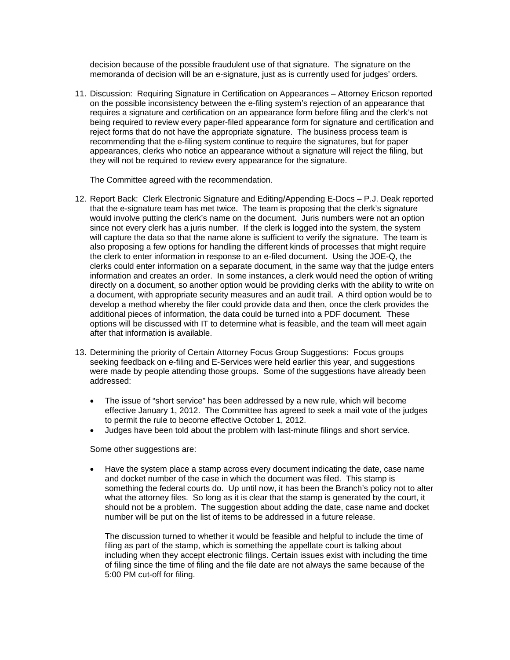decision because of the possible fraudulent use of that signature. The signature on the memoranda of decision will be an e-signature, just as is currently used for judges' orders.

11. Discussion: Requiring Signature in Certification on Appearances – Attorney Ericson reported on the possible inconsistency between the e-filing system's rejection of an appearance that requires a signature and certification on an appearance form before filing and the clerk's not being required to review every paper-filed appearance form for signature and certification and reject forms that do not have the appropriate signature. The business process team is recommending that the e-filing system continue to require the signatures, but for paper appearances, clerks who notice an appearance without a signature will reject the filing, but they will not be required to review every appearance for the signature.

The Committee agreed with the recommendation.

- 12. Report Back: Clerk Electronic Signature and Editing/Appending E-Docs P.J. Deak reported that the e-signature team has met twice. The team is proposing that the clerk's signature would involve putting the clerk's name on the document. Juris numbers were not an option since not every clerk has a juris number. If the clerk is logged into the system, the system will capture the data so that the name alone is sufficient to verify the signature. The team is also proposing a few options for handling the different kinds of processes that might require the clerk to enter information in response to an e-filed document. Using the JOE-Q, the clerks could enter information on a separate document, in the same way that the judge enters information and creates an order. In some instances, a clerk would need the option of writing directly on a document, so another option would be providing clerks with the ability to write on a document, with appropriate security measures and an audit trail. A third option would be to develop a method whereby the filer could provide data and then, once the clerk provides the additional pieces of information, the data could be turned into a PDF document. These options will be discussed with IT to determine what is feasible, and the team will meet again after that information is available.
- 13. Determining the priority of Certain Attorney Focus Group Suggestions: Focus groups seeking feedback on e-filing and E-Services were held earlier this year, and suggestions were made by people attending those groups. Some of the suggestions have already been addressed:
	- The issue of "short service" has been addressed by a new rule, which will become effective January 1, 2012. The Committee has agreed to seek a mail vote of the judges to permit the rule to become effective October 1, 2012.
	- Judges have been told about the problem with last-minute filings and short service.

## Some other suggestions are:

 Have the system place a stamp across every document indicating the date, case name and docket number of the case in which the document was filed. This stamp is something the federal courts do. Up until now, it has been the Branch's policy not to alter what the attorney files. So long as it is clear that the stamp is generated by the court, it should not be a problem. The suggestion about adding the date, case name and docket number will be put on the list of items to be addressed in a future release.

The discussion turned to whether it would be feasible and helpful to include the time of filing as part of the stamp, which is something the appellate court is talking about including when they accept electronic filings. Certain issues exist with including the time of filing since the time of filing and the file date are not always the same because of the 5:00 PM cut-off for filing.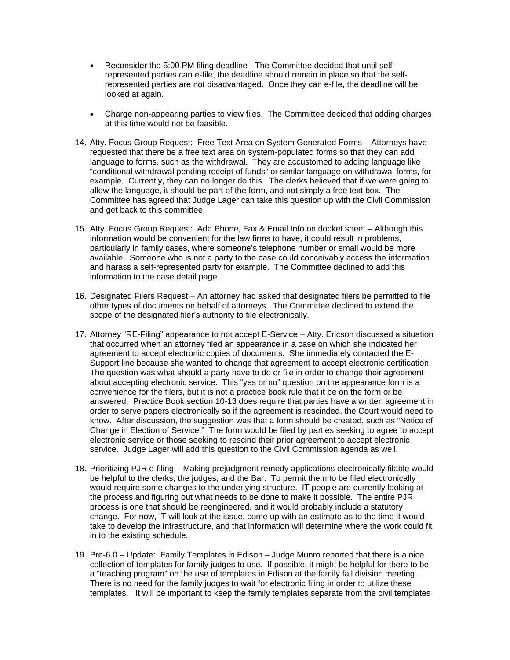- Reconsider the 5:00 PM filing deadline The Committee decided that until selfrepresented parties can e-file, the deadline should remain in place so that the selfrepresented parties are not disadvantaged. Once they can e-file, the deadline will be looked at again.
- Charge non-appearing parties to view files. The Committee decided that adding charges at this time would not be feasible.
- 14. Atty. Focus Group Request: Free Text Area on System Generated Forms Attorneys have requested that there be a free text area on system-populated forms so that they can add language to forms, such as the withdrawal. They are accustomed to adding language like "conditional withdrawal pending receipt of funds" or similar language on withdrawal forms, for example. Currently, they can no longer do this. The clerks believed that if we were going to allow the language, it should be part of the form, and not simply a free text box. The Committee has agreed that Judge Lager can take this question up with the Civil Commission and get back to this committee.
- 15. Atty. Focus Group Request: Add Phone, Fax & Email Info on docket sheet Although this information would be convenient for the law firms to have, it could result in problems, particularly in family cases, where someone's telephone number or email would be more available. Someone who is not a party to the case could conceivably access the information and harass a self-represented party for example. The Committee declined to add this information to the case detail page.
- 16. Designated Filers Request An attorney had asked that designated filers be permitted to file other types of documents on behalf of attorneys. The Committee declined to extend the scope of the designated filer's authority to file electronically.
- 17. Attorney "RE-Filing" appearance to not accept E-Service Atty. Ericson discussed a situation that occurred when an attorney filed an appearance in a case on which she indicated her agreement to accept electronic copies of documents. She immediately contacted the E-Support line because she wanted to change that agreement to accept electronic certification. The question was what should a party have to do or file in order to change their agreement about accepting electronic service. This "yes or no" question on the appearance form is a convenience for the filers, but it is not a practice book rule that it be on the form or be answered. Practice Book section 10-13 does require that parties have a written agreement in order to serve papers electronically so if the agreement is rescinded, the Court would need to know. After discussion, the suggestion was that a form should be created, such as "Notice of Change in Election of Service." The form would be filed by parties seeking to agree to accept electronic service or those seeking to rescind their prior agreement to accept electronic service. Judge Lager will add this question to the Civil Commission agenda as well.
- 18. Prioritizing PJR e-filing Making prejudgment remedy applications electronically filable would be helpful to the clerks, the judges, and the Bar. To permit them to be filed electronically would require some changes to the underlying structure. IT people are currently looking at the process and figuring out what needs to be done to make it possible. The entire PJR process is one that should be reengineered, and it would probably include a statutory change. For now, IT will look at the issue, come up with an estimate as to the time it would take to develop the infrastructure, and that information will determine where the work could fit in to the existing schedule.
- 19. Pre-6.0 Update: Family Templates in Edison Judge Munro reported that there is a nice collection of templates for family judges to use. If possible, it might be helpful for there to be a "teaching program" on the use of templates in Edison at the family fall division meeting. There is no need for the family judges to wait for electronic filing in order to utilize these templates. It will be important to keep the family templates separate from the civil templates